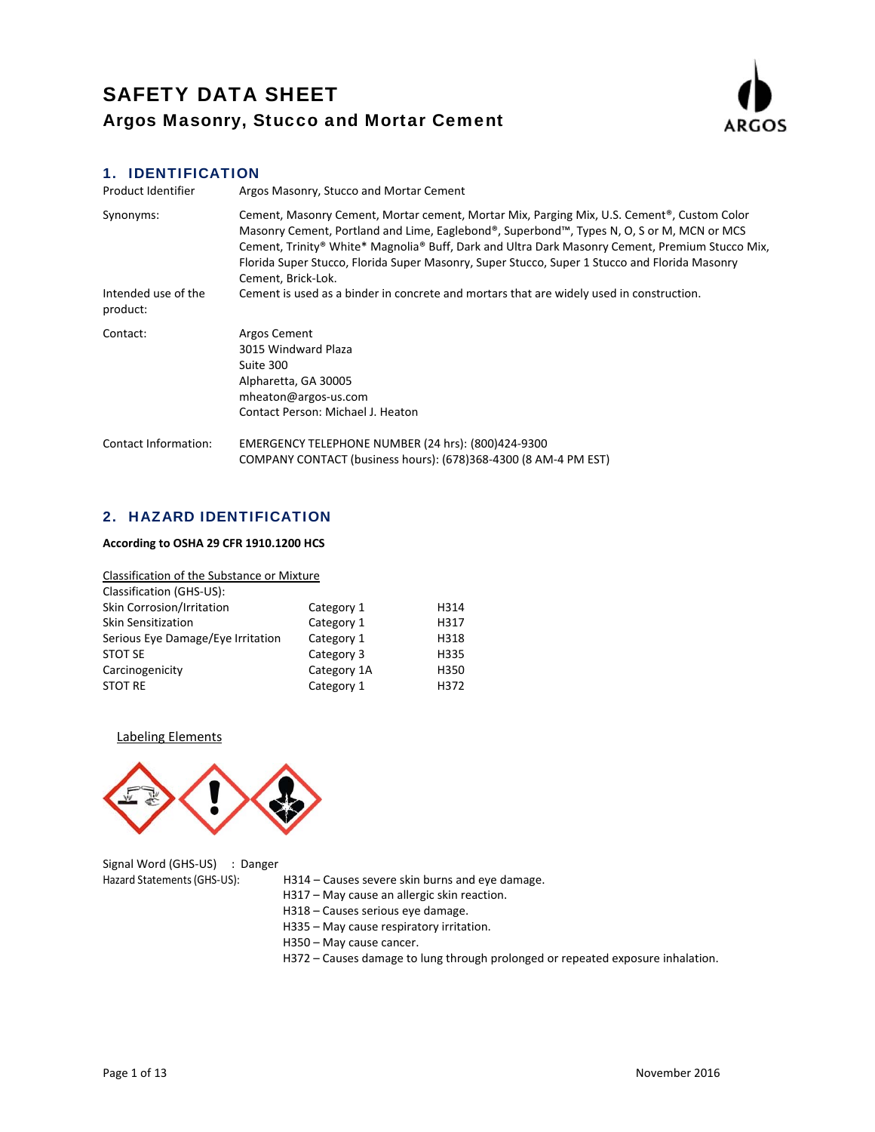

# 1. IDENTIFICATION

| Product Identifier              | Argos Masonry, Stucco and Mortar Cement                                                                                                                                                                                                                                                                                                                                                                                        |
|---------------------------------|--------------------------------------------------------------------------------------------------------------------------------------------------------------------------------------------------------------------------------------------------------------------------------------------------------------------------------------------------------------------------------------------------------------------------------|
| Synonyms:                       | Cement, Masonry Cement, Mortar cement, Mortar Mix, Parging Mix, U.S. Cement <sup>®</sup> , Custom Color<br>Masonry Cement, Portland and Lime, Eaglebond®, Superbond™, Types N, O, S or M, MCN or MCS<br>Cement, Trinity® White* Magnolia® Buff, Dark and Ultra Dark Masonry Cement, Premium Stucco Mix,<br>Florida Super Stucco, Florida Super Masonry, Super Stucco, Super 1 Stucco and Florida Masonry<br>Cement, Brick-Lok. |
| Intended use of the<br>product: | Cement is used as a binder in concrete and mortars that are widely used in construction.                                                                                                                                                                                                                                                                                                                                       |
| Contact:                        | Argos Cement<br>3015 Windward Plaza<br>Suite 300<br>Alpharetta, GA 30005<br>mheaton@argos-us.com<br>Contact Person: Michael J. Heaton                                                                                                                                                                                                                                                                                          |
| <b>Contact Information:</b>     | EMERGENCY TELEPHONE NUMBER (24 hrs): (800)424-9300<br>COMPANY CONTACT (business hours): (678)368-4300 (8 AM-4 PM EST)                                                                                                                                                                                                                                                                                                          |

## 2. HAZARD IDENTIFICATION

## **According to OSHA 29 CFR 1910.1200 HCS**

| Classification of the Substance or Mixture |             |      |
|--------------------------------------------|-------------|------|
| Classification (GHS-US):                   |             |      |
| Skin Corrosion/Irritation                  | Category 1  | H314 |
| <b>Skin Sensitization</b>                  | Category 1  | H317 |
| Serious Eye Damage/Eye Irritation          | Category 1  | H318 |
| STOT SE                                    | Category 3  | H335 |
| Carcinogenicity                            | Category 1A | H350 |
| <b>STOT RE</b>                             | Category 1  | H372 |

## Labeling Elements



| Signal Word (GHS-US) : Danger |                                                 |
|-------------------------------|-------------------------------------------------|
| Hazard Statements (GHS-US):   | H314 – Causes severe skin burns and eye damage. |
|                               | H317 – May cause an allergic skin reaction.     |
|                               | H318 – Causes serious eye damage.               |
|                               | H335 – May cause respiratory irritation.        |

H350 – May cause cancer.

H372 – Causes damage to lung through prolonged or repeated exposure inhalation.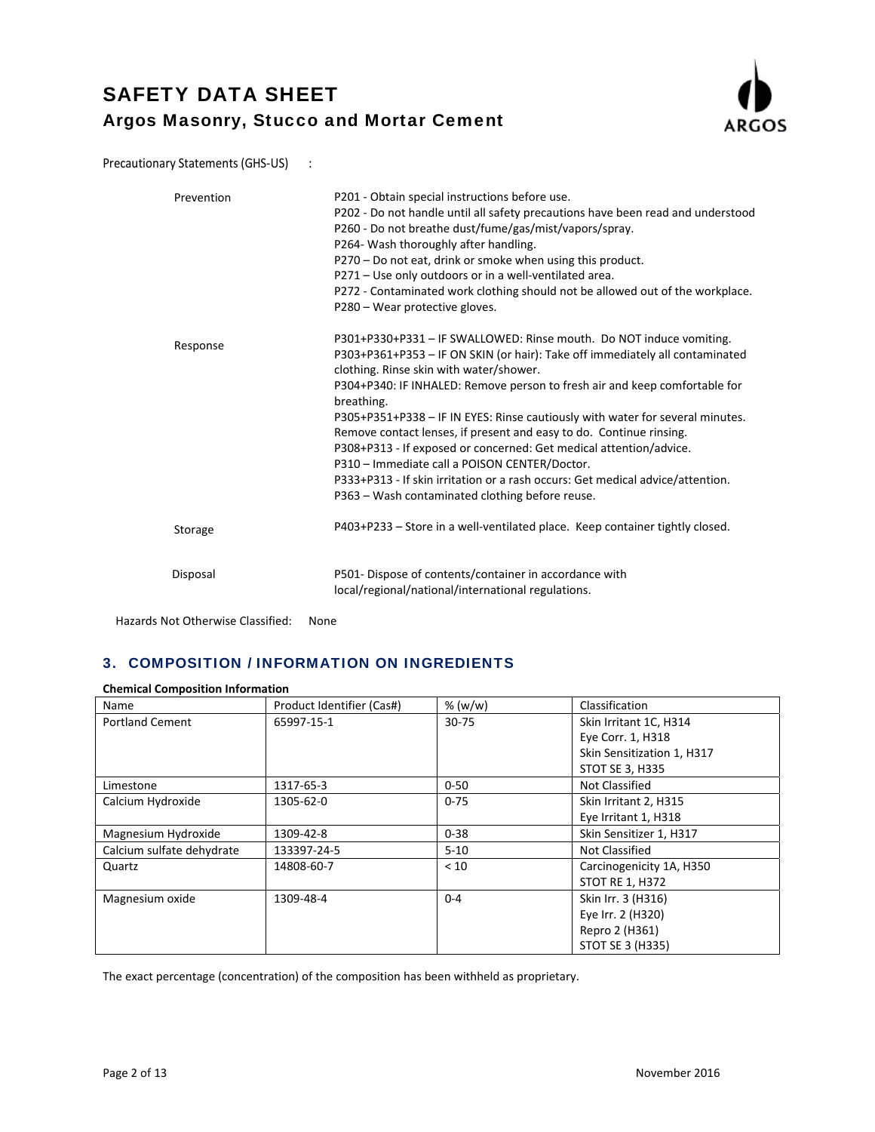

Precautionary Statements (GHS-US) :

| Prevention | P201 - Obtain special instructions before use.<br>P202 - Do not handle until all safety precautions have been read and understood<br>P260 - Do not breathe dust/fume/gas/mist/vapors/spray.<br>P264- Wash thoroughly after handling.<br>P270 - Do not eat, drink or smoke when using this product.<br>P271 - Use only outdoors or in a well-ventilated area.                                                                                                                                                                                                                                                                                                                                                   |
|------------|----------------------------------------------------------------------------------------------------------------------------------------------------------------------------------------------------------------------------------------------------------------------------------------------------------------------------------------------------------------------------------------------------------------------------------------------------------------------------------------------------------------------------------------------------------------------------------------------------------------------------------------------------------------------------------------------------------------|
|            | P272 - Contaminated work clothing should not be allowed out of the workplace.<br>P280 - Wear protective gloves.                                                                                                                                                                                                                                                                                                                                                                                                                                                                                                                                                                                                |
| Response   | P301+P330+P331 - IF SWALLOWED: Rinse mouth. Do NOT induce vomiting.<br>P303+P361+P353 - IF ON SKIN (or hair): Take off immediately all contaminated<br>clothing. Rinse skin with water/shower.<br>P304+P340: IF INHALED: Remove person to fresh air and keep comfortable for<br>breathing.<br>P305+P351+P338 - IF IN EYES: Rinse cautiously with water for several minutes.<br>Remove contact lenses, if present and easy to do. Continue rinsing.<br>P308+P313 - If exposed or concerned: Get medical attention/advice.<br>P310 - Immediate call a POISON CENTER/Doctor.<br>P333+P313 - If skin irritation or a rash occurs: Get medical advice/attention.<br>P363 – Wash contaminated clothing before reuse. |
| Storage    | P403+P233 - Store in a well-ventilated place. Keep container tightly closed.                                                                                                                                                                                                                                                                                                                                                                                                                                                                                                                                                                                                                                   |
| Disposal   | P501- Dispose of contents/container in accordance with<br>local/regional/national/international regulations.                                                                                                                                                                                                                                                                                                                                                                                                                                                                                                                                                                                                   |

Hazards Not Otherwise Classified: None

## 3. COMPOSITION / INFORMATION ON INGREDIENTS

### **Chemical Composition Information**

| Name                      | Product Identifier (Cas#) | % (w/w)   | Classification             |
|---------------------------|---------------------------|-----------|----------------------------|
| <b>Portland Cement</b>    | 65997-15-1                | $30 - 75$ | Skin Irritant 1C, H314     |
|                           |                           |           | Eye Corr. 1, H318          |
|                           |                           |           | Skin Sensitization 1, H317 |
|                           |                           |           | STOT SE 3, H335            |
| Limestone                 | 1317-65-3                 | $0 - 50$  | Not Classified             |
| Calcium Hydroxide         | 1305-62-0                 | $0 - 75$  | Skin Irritant 2, H315      |
|                           |                           |           | Eye Irritant 1, H318       |
| Magnesium Hydroxide       | 1309-42-8                 | $0 - 38$  | Skin Sensitizer 1, H317    |
| Calcium sulfate dehydrate | 133397-24-5               | $5 - 10$  | Not Classified             |
| Quartz                    | 14808-60-7                | < 10      | Carcinogenicity 1A, H350   |
|                           |                           |           | <b>STOT RE 1, H372</b>     |
| Magnesium oxide           | 1309-48-4                 | $0 - 4$   | Skin Irr. 3 (H316)         |
|                           |                           |           | Eye Irr. 2 (H320)          |
|                           |                           |           | Repro 2 (H361)             |
|                           |                           |           | STOT SE 3 (H335)           |

The exact percentage (concentration) of the composition has been withheld as proprietary.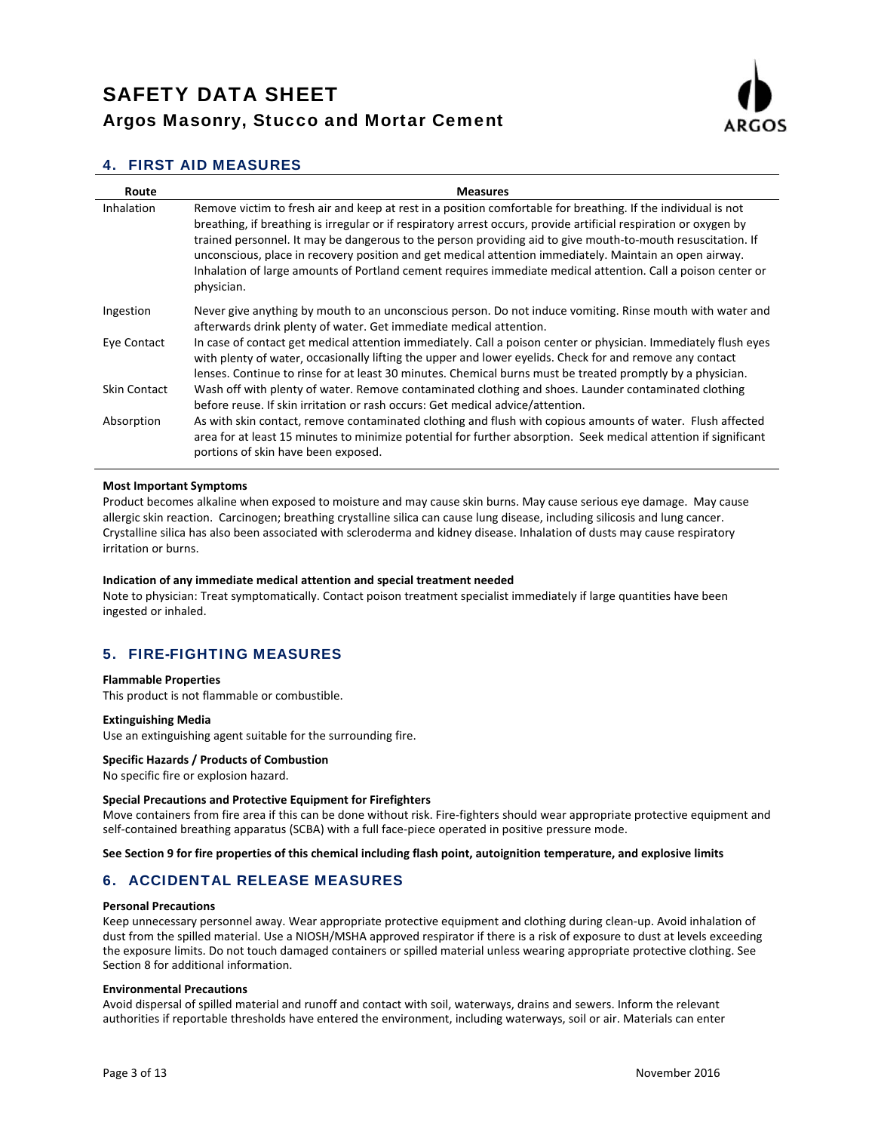

## 4. FIRST AID MEASURES

| Route               | <b>Measures</b>                                                                                                                                                                                                                                                                                                                                                                                                                                                                                                                                                                            |
|---------------------|--------------------------------------------------------------------------------------------------------------------------------------------------------------------------------------------------------------------------------------------------------------------------------------------------------------------------------------------------------------------------------------------------------------------------------------------------------------------------------------------------------------------------------------------------------------------------------------------|
| Inhalation          | Remove victim to fresh air and keep at rest in a position comfortable for breathing. If the individual is not<br>breathing, if breathing is irregular or if respiratory arrest occurs, provide artificial respiration or oxygen by<br>trained personnel. It may be dangerous to the person providing aid to give mouth-to-mouth resuscitation. If<br>unconscious, place in recovery position and get medical attention immediately. Maintain an open airway.<br>Inhalation of large amounts of Portland cement requires immediate medical attention. Call a poison center or<br>physician. |
| Ingestion           | Never give anything by mouth to an unconscious person. Do not induce vomiting. Rinse mouth with water and<br>afterwards drink plenty of water. Get immediate medical attention.                                                                                                                                                                                                                                                                                                                                                                                                            |
| Eye Contact         | In case of contact get medical attention immediately. Call a poison center or physician. Immediately flush eyes<br>with plenty of water, occasionally lifting the upper and lower eyelids. Check for and remove any contact<br>lenses. Continue to rinse for at least 30 minutes. Chemical burns must be treated promptly by a physician.                                                                                                                                                                                                                                                  |
| <b>Skin Contact</b> | Wash off with plenty of water. Remove contaminated clothing and shoes. Launder contaminated clothing<br>before reuse. If skin irritation or rash occurs: Get medical advice/attention.                                                                                                                                                                                                                                                                                                                                                                                                     |
| Absorption          | As with skin contact, remove contaminated clothing and flush with copious amounts of water. Flush affected<br>area for at least 15 minutes to minimize potential for further absorption. Seek medical attention if significant<br>portions of skin have been exposed.                                                                                                                                                                                                                                                                                                                      |

#### **Most Important Symptoms**

Product becomes alkaline when exposed to moisture and may cause skin burns. May cause serious eye damage. May cause allergic skin reaction. Carcinogen; breathing crystalline silica can cause lung disease, including silicosis and lung cancer. Crystalline silica has also been associated with scleroderma and kidney disease. Inhalation of dusts may cause respiratory irritation or burns.

#### **Indication of any immediate medical attention and special treatment needed**

Note to physician: Treat symptomatically. Contact poison treatment specialist immediately if large quantities have been ingested or inhaled.

## 5. FIRE-FIGHTING MEASURES

#### **Flammable Properties**

This product is not flammable or combustible.

#### **Extinguishing Media**

Use an extinguishing agent suitable for the surrounding fire.

#### **Specific Hazards / Products of Combustion**

No specific fire or explosion hazard.

#### **Special Precautions and Protective Equipment for Firefighters**

Move containers from fire area if this can be done without risk. Fire-fighters should wear appropriate protective equipment and self-contained breathing apparatus (SCBA) with a full face-piece operated in positive pressure mode.

#### See Section 9 for fire properties of this chemical including flash point, autoignition temperature, and explosive limits

### 6. ACCIDENTAL RELEASE MEASURES

#### **Personal Precautions**

Keep unnecessary personnel away. Wear appropriate protective equipment and clothing during clean‐up. Avoid inhalation of dust from the spilled material. Use a NIOSH/MSHA approved respirator if there is a risk of exposure to dust at levels exceeding the exposure limits. Do not touch damaged containers or spilled material unless wearing appropriate protective clothing. See Section 8 for additional information.

#### **Environmental Precautions**

Avoid dispersal of spilled material and runoff and contact with soil, waterways, drains and sewers. Inform the relevant authorities if reportable thresholds have entered the environment, including waterways, soil or air. Materials can enter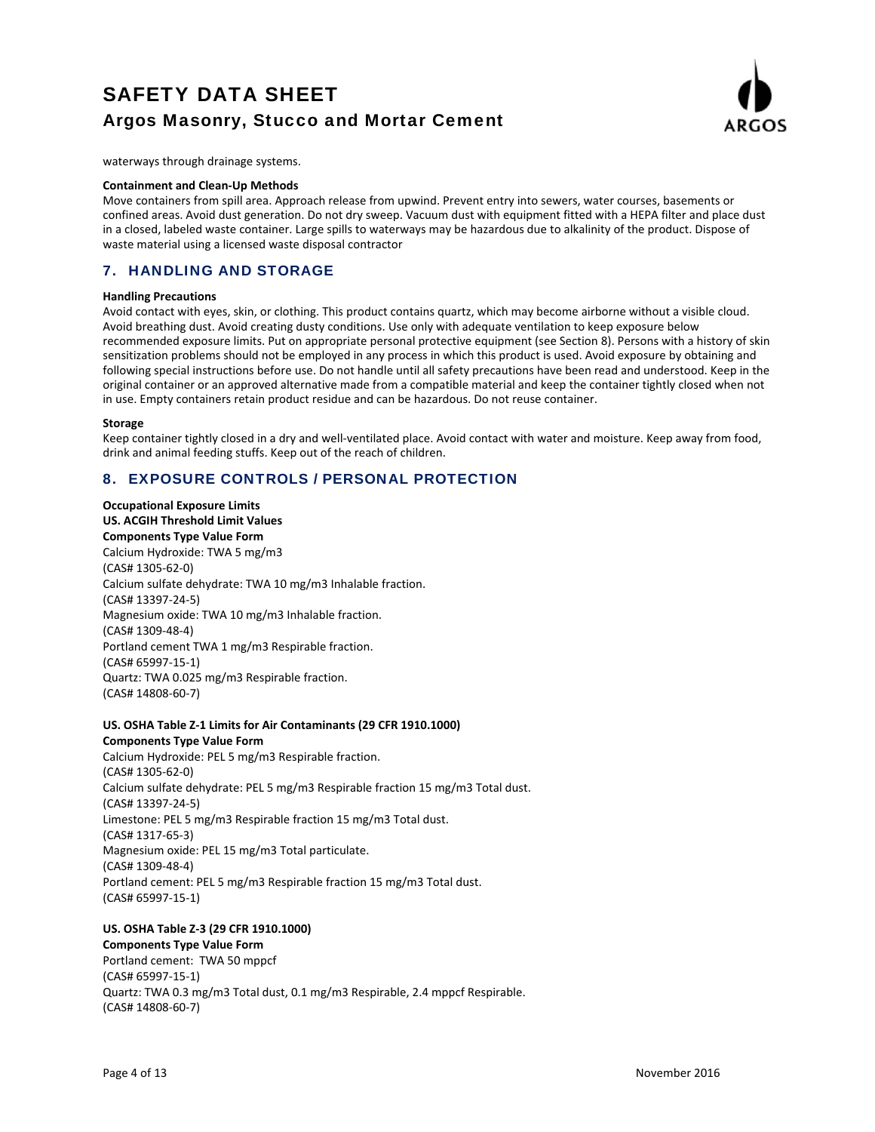

waterways through drainage systems.

#### **Containment and Clean‐Up Methods**

Move containers from spill area. Approach release from upwind. Prevent entry into sewers, water courses, basements or confined areas. Avoid dust generation. Do not dry sweep. Vacuum dust with equipment fitted with a HEPA filter and place dust in a closed, labeled waste container. Large spills to waterways may be hazardous due to alkalinity of the product. Dispose of waste material using a licensed waste disposal contractor

## 7. HANDLING AND STORAGE

#### **Handling Precautions**

Avoid contact with eyes, skin, or clothing. This product contains quartz, which may become airborne without a visible cloud. Avoid breathing dust. Avoid creating dusty conditions. Use only with adequate ventilation to keep exposure below recommended exposure limits. Put on appropriate personal protective equipment (see Section 8). Persons with a history of skin sensitization problems should not be employed in any process in which this product is used. Avoid exposure by obtaining and following special instructions before use. Do not handle until all safety precautions have been read and understood. Keep in the original container or an approved alternative made from a compatible material and keep the container tightly closed when not in use. Empty containers retain product residue and can be hazardous. Do not reuse container.

#### **Storage**

Keep container tightly closed in a dry and well‐ventilated place. Avoid contact with water and moisture. Keep away from food, drink and animal feeding stuffs. Keep out of the reach of children.

## 8. EXPOSURE CONTROLS / PERSONAL PROTECTION

**Occupational Exposure Limits US. ACGIH Threshold Limit Values**

**Components Type Value Form** Calcium Hydroxide: TWA 5 mg/m3 (CAS# 1305‐62‐0) Calcium sulfate dehydrate: TWA 10 mg/m3 Inhalable fraction. (CAS# 13397‐24‐5) Magnesium oxide: TWA 10 mg/m3 Inhalable fraction. (CAS# 1309‐48‐4) Portland cement TWA 1 mg/m3 Respirable fraction. (CAS# 65997‐15‐1) Quartz: TWA 0.025 mg/m3 Respirable fraction. (CAS# 14808‐60‐7)

#### **US. OSHA Table Z‐1 Limits for Air Contaminants (29 CFR 1910.1000) Components Type Value Form**

Calcium Hydroxide: PEL 5 mg/m3 Respirable fraction. (CAS# 1305‐62‐0) Calcium sulfate dehydrate: PEL 5 mg/m3 Respirable fraction 15 mg/m3 Total dust. (CAS# 13397‐24‐5) Limestone: PEL 5 mg/m3 Respirable fraction 15 mg/m3 Total dust. (CAS# 1317‐65‐3) Magnesium oxide: PEL 15 mg/m3 Total particulate. (CAS# 1309‐48‐4) Portland cement: PEL 5 mg/m3 Respirable fraction 15 mg/m3 Total dust. (CAS# 65997‐15‐1)

## **US. OSHA Table Z‐3 (29 CFR 1910.1000)**

#### **Components Type Value Form**

Portland cement: TWA 50 mppcf (CAS# 65997‐15‐1) Quartz: TWA 0.3 mg/m3 Total dust, 0.1 mg/m3 Respirable, 2.4 mppcf Respirable. (CAS# 14808‐60‐7)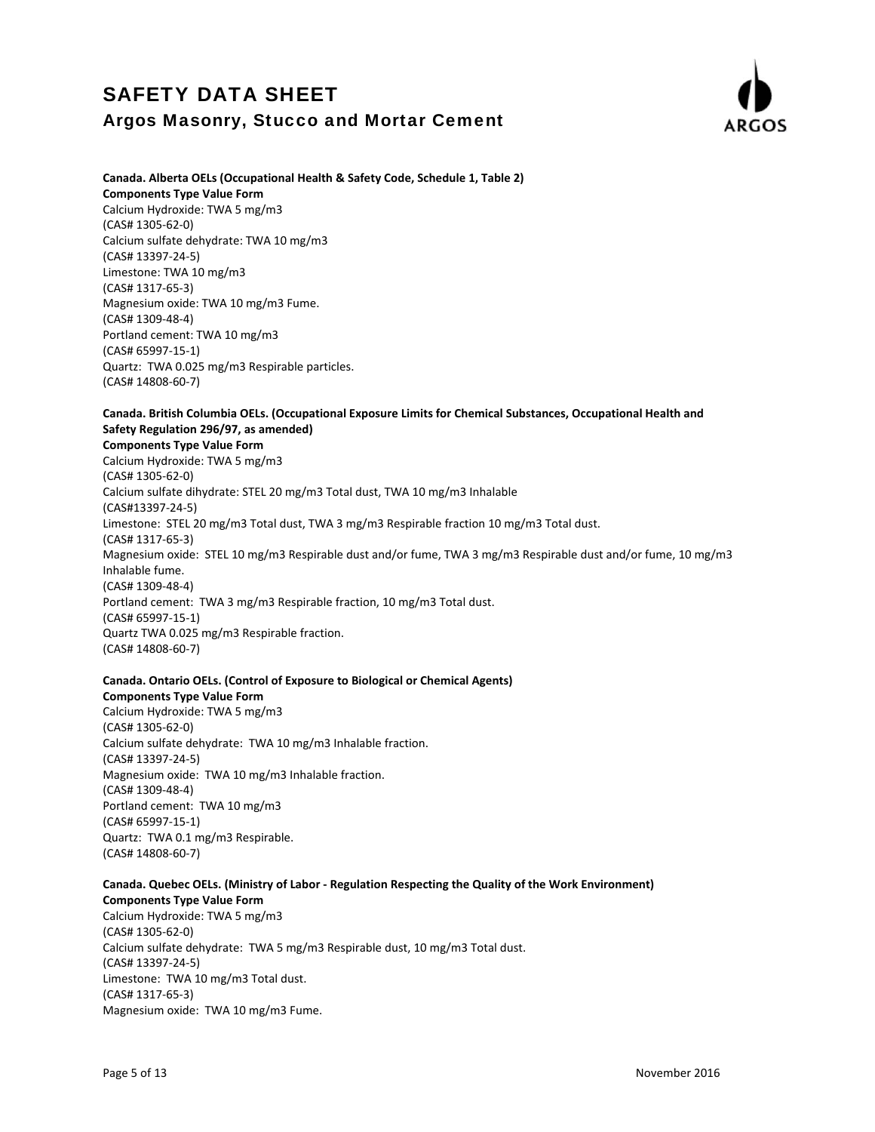

### **Canada. Alberta OELs (Occupational Health & Safety Code, Schedule 1, Table 2)**

**Components Type Value Form**

Calcium Hydroxide: TWA 5 mg/m3 (CAS# 1305‐62‐0) Calcium sulfate dehydrate: TWA 10 mg/m3 (CAS# 13397‐24‐5) Limestone: TWA 10 mg/m3 (CAS# 1317‐65‐3) Magnesium oxide: TWA 10 mg/m3 Fume. (CAS# 1309‐48‐4) Portland cement: TWA 10 mg/m3 (CAS# 65997‐15‐1) Quartz: TWA 0.025 mg/m3 Respirable particles. (CAS# 14808‐60‐7)

### **Canada. British Columbia OELs. (Occupational Exposure Limits for Chemical Substances, Occupational Health and Safety Regulation 296/97, as amended)**

#### **Components Type Value Form**

Calcium Hydroxide: TWA 5 mg/m3 (CAS# 1305‐62‐0) Calcium sulfate dihydrate: STEL 20 mg/m3 Total dust, TWA 10 mg/m3 Inhalable (CAS#13397‐24‐5) Limestone: STEL 20 mg/m3 Total dust, TWA 3 mg/m3 Respirable fraction 10 mg/m3 Total dust. (CAS# 1317‐65‐3) Magnesium oxide: STEL 10 mg/m3 Respirable dust and/or fume, TWA 3 mg/m3 Respirable dust and/or fume, 10 mg/m3 Inhalable fume. (CAS# 1309‐48‐4) Portland cement: TWA 3 mg/m3 Respirable fraction, 10 mg/m3 Total dust. (CAS# 65997‐15‐1) Quartz TWA 0.025 mg/m3 Respirable fraction. (CAS# 14808‐60‐7)

#### **Canada. Ontario OELs. (Control of Exposure to Biological or Chemical Agents) Components Type Value Form**

Calcium Hydroxide: TWA 5 mg/m3 (CAS# 1305‐62‐0) Calcium sulfate dehydrate: TWA 10 mg/m3 Inhalable fraction. (CAS# 13397‐24‐5) Magnesium oxide: TWA 10 mg/m3 Inhalable fraction. (CAS# 1309‐48‐4) Portland cement: TWA 10 mg/m3 (CAS# 65997‐15‐1) Quartz: TWA 0.1 mg/m3 Respirable. (CAS# 14808‐60‐7)

## **Canada. Quebec OELs. (Ministry of Labor ‐ Regulation Respecting the Quality of the Work Environment)**

**Components Type Value Form** Calcium Hydroxide: TWA 5 mg/m3 (CAS# 1305‐62‐0) Calcium sulfate dehydrate: TWA 5 mg/m3 Respirable dust, 10 mg/m3 Total dust. (CAS# 13397‐24‐5) Limestone: TWA 10 mg/m3 Total dust. (CAS# 1317‐65‐3) Magnesium oxide: TWA 10 mg/m3 Fume.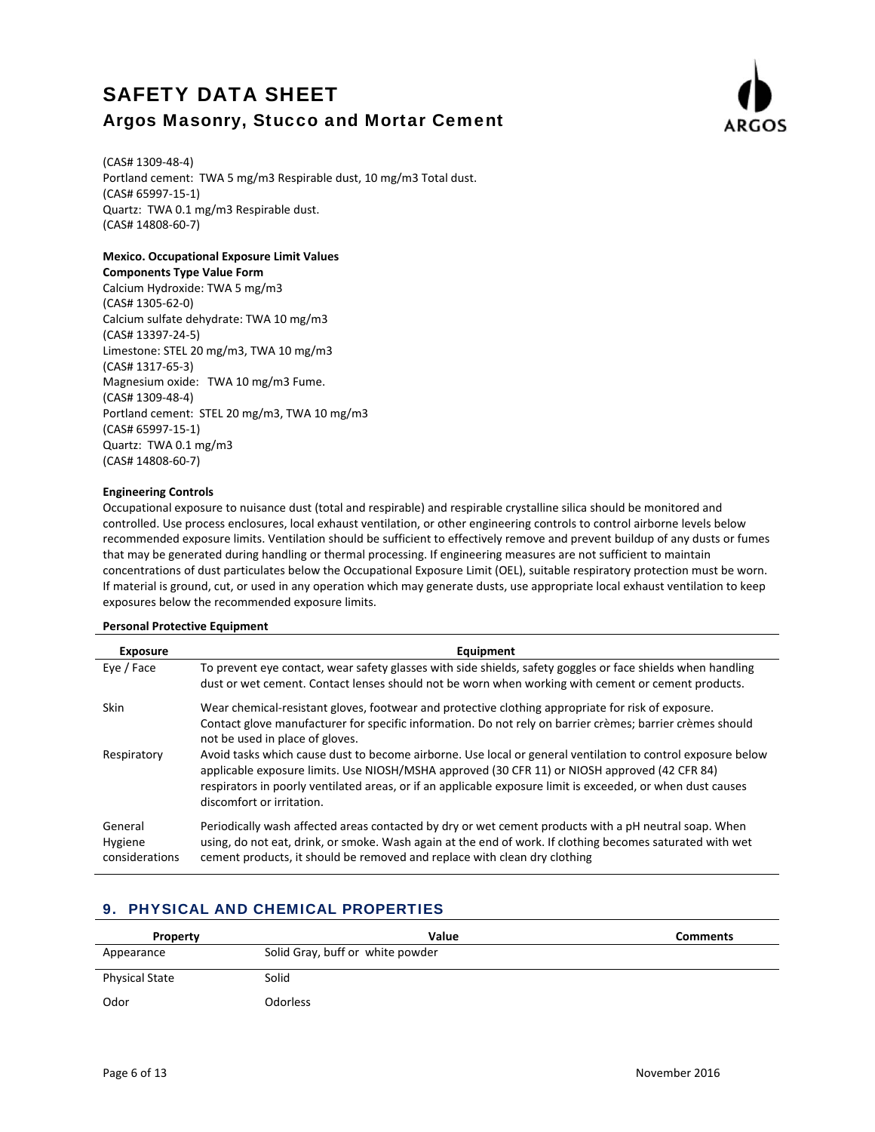

(CAS# 1309‐48‐4) Portland cement: TWA 5 mg/m3 Respirable dust, 10 mg/m3 Total dust. (CAS# 65997‐15‐1) Quartz: TWA 0.1 mg/m3 Respirable dust. (CAS# 14808‐60‐7)

### **Mexico. Occupational Exposure Limit Values**

#### **Components Type Value Form**

Calcium Hydroxide: TWA 5 mg/m3 (CAS# 1305‐62‐0) Calcium sulfate dehydrate: TWA 10 mg/m3 (CAS# 13397‐24‐5) Limestone: STEL 20 mg/m3, TWA 10 mg/m3 (CAS# 1317‐65‐3) Magnesium oxide: TWA 10 mg/m3 Fume. (CAS# 1309‐48‐4) Portland cement: STEL 20 mg/m3, TWA 10 mg/m3 (CAS# 65997‐15‐1) Quartz: TWA 0.1 mg/m3 (CAS# 14808‐60‐7)

### **Engineering Controls**

Occupational exposure to nuisance dust (total and respirable) and respirable crystalline silica should be monitored and controlled. Use process enclosures, local exhaust ventilation, or other engineering controls to control airborne levels below recommended exposure limits. Ventilation should be sufficient to effectively remove and prevent buildup of any dusts or fumes that may be generated during handling or thermal processing. If engineering measures are not sufficient to maintain concentrations of dust particulates below the Occupational Exposure Limit (OEL), suitable respiratory protection must be worn. If material is ground, cut, or used in any operation which may generate dusts, use appropriate local exhaust ventilation to keep exposures below the recommended exposure limits.

#### **Personal Protective Equipment**

| <b>Exposure</b>                      | Equipment                                                                                                                                                                                                                                                                                                                                                |
|--------------------------------------|----------------------------------------------------------------------------------------------------------------------------------------------------------------------------------------------------------------------------------------------------------------------------------------------------------------------------------------------------------|
| Eye / Face                           | To prevent eye contact, wear safety glasses with side shields, safety goggles or face shields when handling<br>dust or wet cement. Contact lenses should not be worn when working with cement or cement products.                                                                                                                                        |
| <b>Skin</b>                          | Wear chemical-resistant gloves, footwear and protective clothing appropriate for risk of exposure.<br>Contact glove manufacturer for specific information. Do not rely on barrier crèmes; barrier crèmes should<br>not be used in place of gloves.                                                                                                       |
| Respiratory                          | Avoid tasks which cause dust to become airborne. Use local or general ventilation to control exposure below<br>applicable exposure limits. Use NIOSH/MSHA approved (30 CFR 11) or NIOSH approved (42 CFR 84)<br>respirators in poorly ventilated areas, or if an applicable exposure limit is exceeded, or when dust causes<br>discomfort or irritation. |
| General<br>Hygiene<br>considerations | Periodically wash affected areas contacted by dry or wet cement products with a pH neutral soap. When<br>using, do not eat, drink, or smoke. Wash again at the end of work. If clothing becomes saturated with wet<br>cement products, it should be removed and replace with clean dry clothing                                                          |

## 9. PHYSICAL AND CHEMICAL PROPERTIES

| Property              | Value                            | <b>Comments</b> |
|-----------------------|----------------------------------|-----------------|
| Appearance            | Solid Gray, buff or white powder |                 |
| <b>Physical State</b> | Solid                            |                 |
| Odor                  | Odorless                         |                 |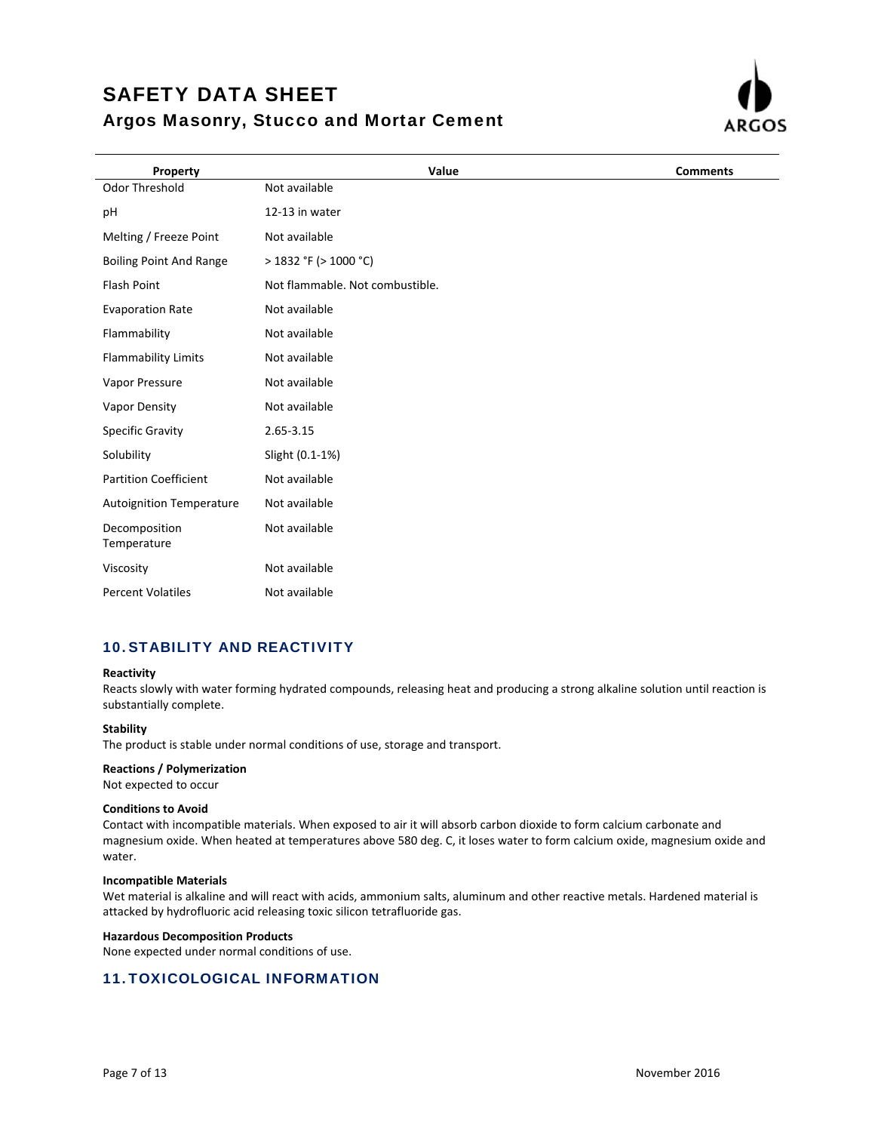

| Property                        | Value                           | <b>Comments</b> |
|---------------------------------|---------------------------------|-----------------|
| Odor Threshold                  | Not available                   |                 |
| pH                              | 12-13 in water                  |                 |
| Melting / Freeze Point          | Not available                   |                 |
| <b>Boiling Point And Range</b>  | $>$ 1832 °F ( $>$ 1000 °C)      |                 |
| <b>Flash Point</b>              | Not flammable. Not combustible. |                 |
| <b>Evaporation Rate</b>         | Not available                   |                 |
| Flammability                    | Not available                   |                 |
| <b>Flammability Limits</b>      | Not available                   |                 |
| Vapor Pressure                  | Not available                   |                 |
| Vapor Density                   | Not available                   |                 |
| Specific Gravity                | 2.65-3.15                       |                 |
| Solubility                      | Slight (0.1-1%)                 |                 |
| <b>Partition Coefficient</b>    | Not available                   |                 |
| <b>Autoignition Temperature</b> | Not available                   |                 |
| Decomposition<br>Temperature    | Not available                   |                 |
| Viscosity                       | Not available                   |                 |
| <b>Percent Volatiles</b>        | Not available                   |                 |

## 10.STABILITY AND REACTIVITY

#### **Reactivity**

Reacts slowly with water forming hydrated compounds, releasing heat and producing a strong alkaline solution until reaction is substantially complete.

#### **Stability**

The product is stable under normal conditions of use, storage and transport.

#### **Reactions / Polymerization**

Not expected to occur

#### **Conditions to Avoid**

Contact with incompatible materials. When exposed to air it will absorb carbon dioxide to form calcium carbonate and magnesium oxide. When heated at temperatures above 580 deg. C, it loses water to form calcium oxide, magnesium oxide and water.

#### **Incompatible Materials**

Wet material is alkaline and will react with acids, ammonium salts, aluminum and other reactive metals. Hardened material is attacked by hydrofluoric acid releasing toxic silicon tetrafluoride gas.

#### **Hazardous Decomposition Products**

None expected under normal conditions of use.

## 11.TOXICOLOGICAL INFORMATION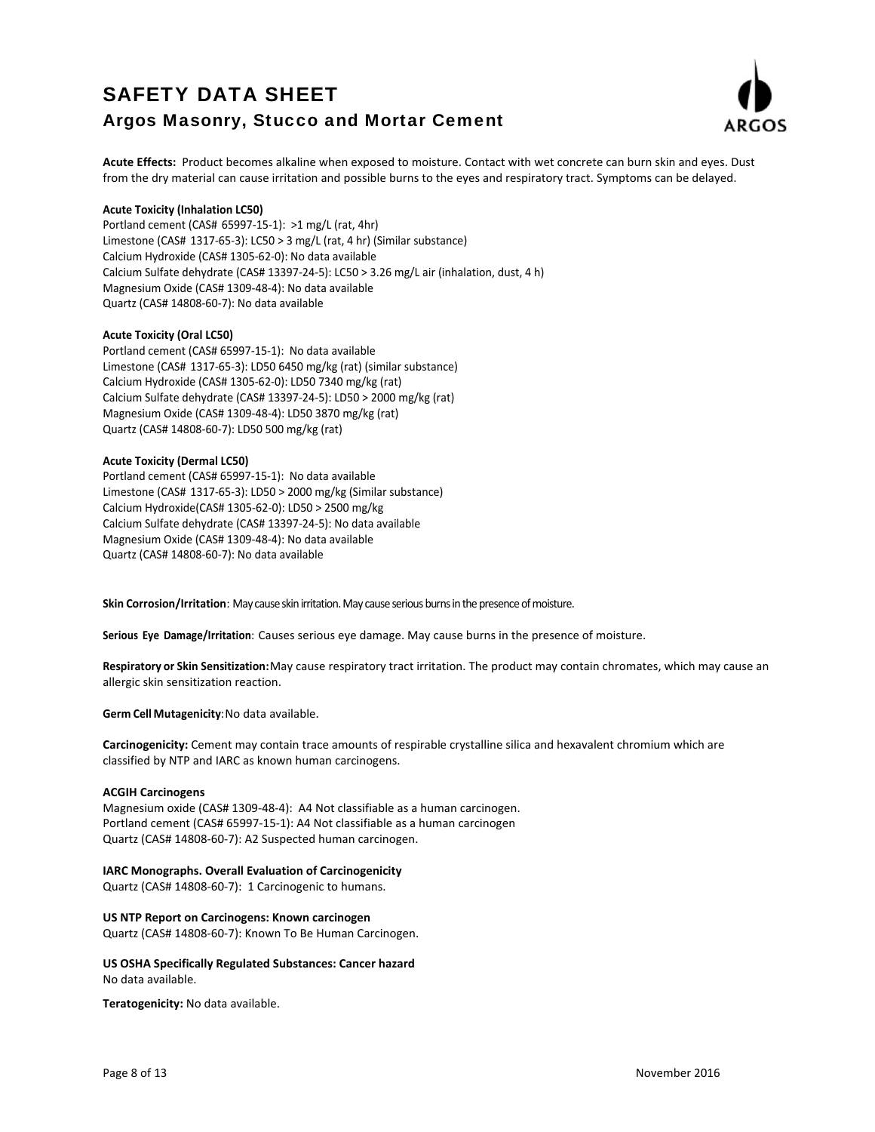

Acute Effects: Product becomes alkaline when exposed to moisture. Contact with wet concrete can burn skin and eyes. Dust from the dry material can cause irritation and possible burns to the eyes and respiratory tract. Symptoms can be delayed.

#### **Acute Toxicity (Inhalation LC50)**

Portland cement (CAS# 65997‐15‐1): >1 mg/L (rat, 4hr) Limestone (CAS# 1317‐65‐3): LC50 > 3 mg/L (rat, 4 hr) (Similar substance) Calcium Hydroxide (CAS# 1305‐62‐0): No data available Calcium Sulfate dehydrate (CAS# 13397‐24‐5): LC50 > 3.26 mg/L air (inhalation, dust, 4 h) Magnesium Oxide (CAS# 1309‐48‐4): No data available Quartz (CAS# 14808‐60‐7): No data available

#### **Acute Toxicity (Oral LC50)**

Portland cement (CAS# 65997‐15‐1): No data available Limestone (CAS# 1317‐65‐3): LD50 6450 mg/kg (rat) (similar substance) Calcium Hydroxide (CAS# 1305‐62‐0): LD50 7340 mg/kg (rat) Calcium Sulfate dehydrate (CAS# 13397‐24‐5): LD50 > 2000 mg/kg (rat) Magnesium Oxide (CAS# 1309‐48‐4): LD50 3870 mg/kg (rat) Quartz (CAS# 14808‐60‐7): LD50 500 mg/kg (rat)

#### **Acute Toxicity (Dermal LC50)**

Portland cement (CAS# 65997‐15‐1): No data available Limestone (CAS# 1317‐65‐3): LD50 > 2000 mg/kg (Similar substance) Calcium Hydroxide(CAS# 1305‐62‐0): LD50 > 2500 mg/kg Calcium Sulfate dehydrate (CAS# 13397‐24‐5): No data available Magnesium Oxide (CAS# 1309‐48‐4): No data available Quartz (CAS# 14808‐60‐7): No data available

Skin Corrosion/Irritation: May cause skin irritation. May cause serious burns in the presence of moisture.

**Serious Eye Damage/Irritation**: Causes serious eye damage. May cause burns in the presence of moisture.

Respiratory or Skin Sensitization: May cause respiratory tract irritation. The product may contain chromates, which may cause an allergic skin sensitization reaction.

**Germ Cell Mutagenicity**:No data available.

**Carcinogenicity:** Cement may contain trace amounts of respirable crystalline silica and hexavalent chromium which are classified by NTP and IARC as known human carcinogens.

#### **ACGIH Carcinogens**

Magnesium oxide (CAS# 1309‐48‐4): A4 Not classifiable as a human carcinogen. Portland cement (CAS# 65997‐15‐1): A4 Not classifiable as a human carcinogen Quartz (CAS# 14808‐60‐7): A2 Suspected human carcinogen.

#### **IARC Monographs. Overall Evaluation of Carcinogenicity**

Quartz (CAS# 14808‐60‐7): 1 Carcinogenic to humans.

### **US NTP Report on Carcinogens: Known carcinogen**

Quartz (CAS# 14808‐60‐7): Known To Be Human Carcinogen.

**US OSHA Specifically Regulated Substances: Cancer hazard** No data available.

**Teratogenicity:** No data available.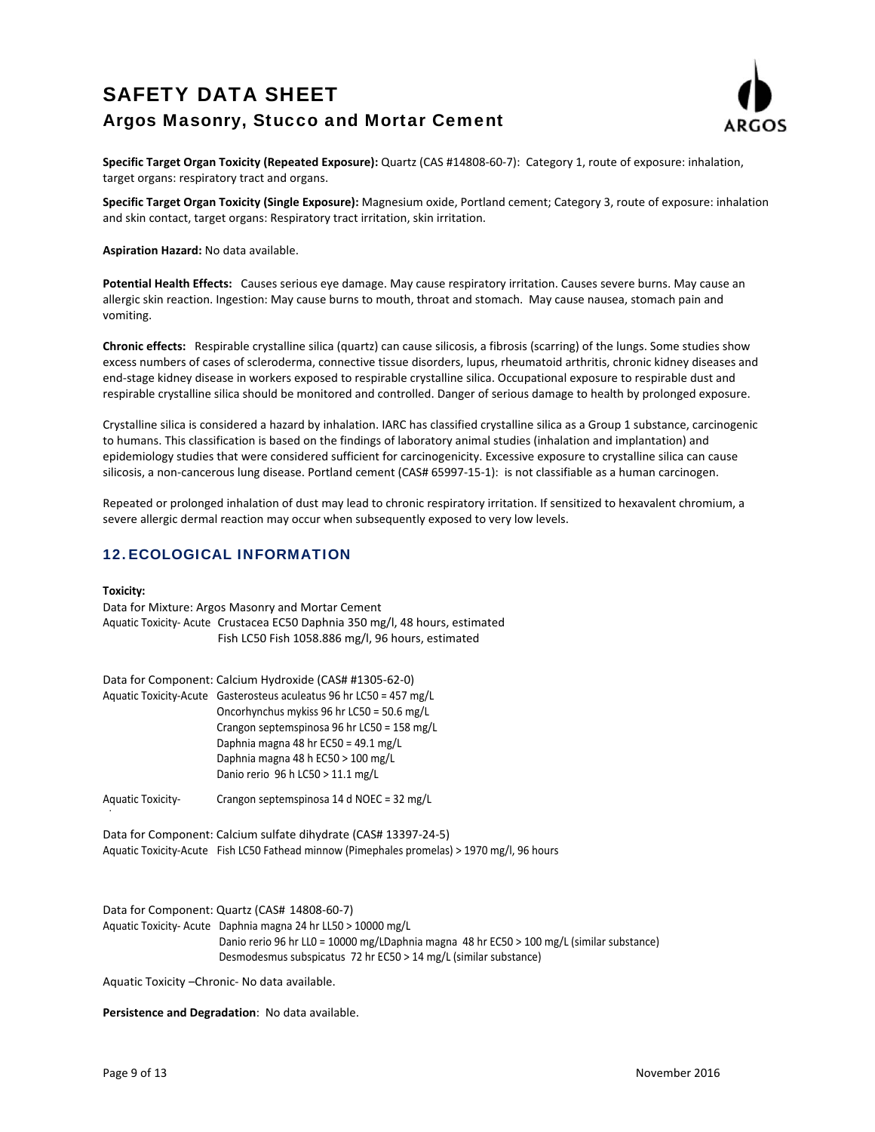

**Specific Target Organ Toxicity (Repeated Exposure):** Quartz (CAS #14808‐60‐7): Category 1, route of exposure: inhalation, target organs: respiratory tract and organs.

**Specific Target Organ Toxicity (Single Exposure):** Magnesium oxide, Portland cement; Category 3, route of exposure: inhalation and skin contact, target organs: Respiratory tract irritation, skin irritation.

**Aspiration Hazard:** No data available.

**Potential Health Effects:** Causes serious eye damage. May cause respiratory irritation. Causes severe burns. May cause an allergic skin reaction. Ingestion: May cause burns to mouth, throat and stomach. May cause nausea, stomach pain and vomiting.

**Chronic effects:** Respirable crystalline silica (quartz) can cause silicosis, a fibrosis (scarring) of the lungs. Some studies show excess numbers of cases of scleroderma, connective tissue disorders, lupus, rheumatoid arthritis, chronic kidney diseases and end-stage kidney disease in workers exposed to respirable crystalline silica. Occupational exposure to respirable dust and respirable crystalline silica should be monitored and controlled. Danger of serious damage to health by prolonged exposure.

Crystalline silica is considered a hazard by inhalation. IARC has classified crystalline silica as a Group 1 substance, carcinogenic to humans. This classification is based on the findings of laboratory animal studies (inhalation and implantation) and epidemiology studies that were considered sufficient for carcinogenicity. Excessive exposure to crystalline silica can cause silicosis, a non-cancerous lung disease. Portland cement (CAS# 65997-15-1): is not classifiable as a human carcinogen.

Repeated or prolonged inhalation of dust may lead to chronic respiratory irritation. If sensitized to hexavalent chromium, a severe allergic dermal reaction may occur when subsequently exposed to very low levels.

## 12.ECOLOGICAL INFORMATION

#### **Toxicity:**

h

Data for Mixture: Argos Masonry and Mortar Cement Aquatic Toxicity-Acute Crustacea EC50 Daphnia 350 mg/l, 48 hours, estimated Fish LC50 Fish 1058.886 mg/l, 96 hours, estimated

| Data for Component: Calcium Hydroxide (CAS# #1305-62-0)             |
|---------------------------------------------------------------------|
| Aquatic Toxicity-Acute Gasterosteus aculeatus 96 hr LC50 = 457 mg/L |
| Oncorhynchus mykiss 96 hr LC50 = 50.6 mg/L                          |
| Crangon septemspinosa 96 hr LC50 = 158 mg/L                         |
| Daphnia magna 48 hr EC50 = 49.1 mg/L                                |
| Daphnia magna 48 h EC50 > 100 mg/L                                  |
| Danio rerio 96 h LC50 > 11.1 mg/L                                   |
|                                                                     |

Aquatic Toxicity‐ Crangon septemspinosa 14 d NOEC = 32 mg/L

Data for Component: Calcium sulfate dihydrate (CAS# 13397‐24‐5) Aquatic Toxicity‐Acute Fish LC50 Fathead minnow (Pimephales promelas) > 1970 mg/l, 96 hours

Data for Component: Quartz (CAS# 14808‐60‐7) Aquatic Toxicity-Acute Daphnia magna 24 hr LL50 > 10000 mg/L Danio rerio 96 hr LL0 = 10000 mg/LDaphnia magna 48 hr EC50 > 100 mg/L (similar substance) Desmodesmus subspicatus 72 hr EC50 > 14 mg/L (similar substance)

Aquatic Toxicity –Chronic‐ No data available.

**Persistence and Degradation**: No data available.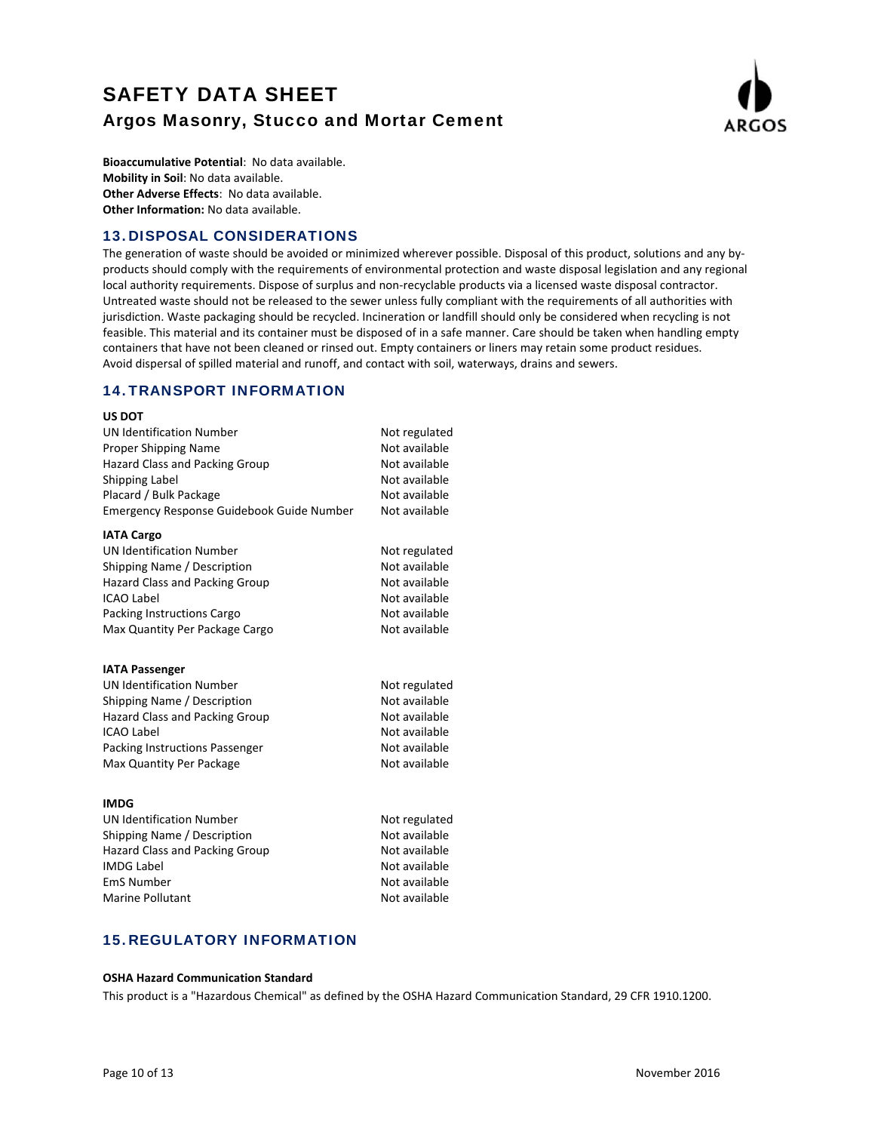

**Bioaccumulative Potential**: No data available. **Mobility in Soil**: No data available. **Other Adverse Effects**: No data available. **Other Information:** No data available.

## 13.DISPOSAL CONSIDERATIONS

The generation of waste should be avoided or minimized wherever possible. Disposal of this product, solutions and any byproducts should comply with the requirements of environmental protection and waste disposal legislation and any regional local authority requirements. Dispose of surplus and non‐recyclable products via a licensed waste disposal contractor. Untreated waste should not be released to the sewer unless fully compliant with the requirements of all authorities with jurisdiction. Waste packaging should be recycled. Incineration or landfill should only be considered when recycling is not feasible. This material and its container must be disposed of in a safe manner. Care should be taken when handling empty containers that have not been cleaned or rinsed out. Empty containers or liners may retain some product residues. Avoid dispersal of spilled material and runoff, and contact with soil, waterways, drains and sewers.

## 14.TRANSPORT INFORMATION

# **US DOT** UN Identification Number Not regulated Proper Shipping Name Not available Hazard Class and Packing Group Not available Shipping Label 2002 12:00 12:00 Not available Placard / Bulk Package Not available Emergency Response Guidebook Guide Number Not available **IATA Cargo** UN Identification Number Not regulated Shipping Name / Description Not available Hazard Class and Packing Group Not available<br>ICAO Label Not available ICAO Label Packing Instructions Cargo Not available Max Quantity Per Package Cargo Not available **IATA Passenger** UN Identification Number Not regulated Shipping Name / Description Not available Hazard Class and Packing Group Not available ICAO Label Not available Packing Instructions Passenger Not available Max Quantity Per Package Not available **IMDG** UN Identification Number Not regulated Shipping Name / Description Not available Hazard Class and Packing Group Not available IMDG Label **IMDG** Label EmS Number Not available Marine Pollutant Not available

## 15.REGULATORY INFORMATION

#### **OSHA Hazard Communication Standard**

This product is a "Hazardous Chemical" as defined by the OSHA Hazard Communication Standard, 29 CFR 1910.1200.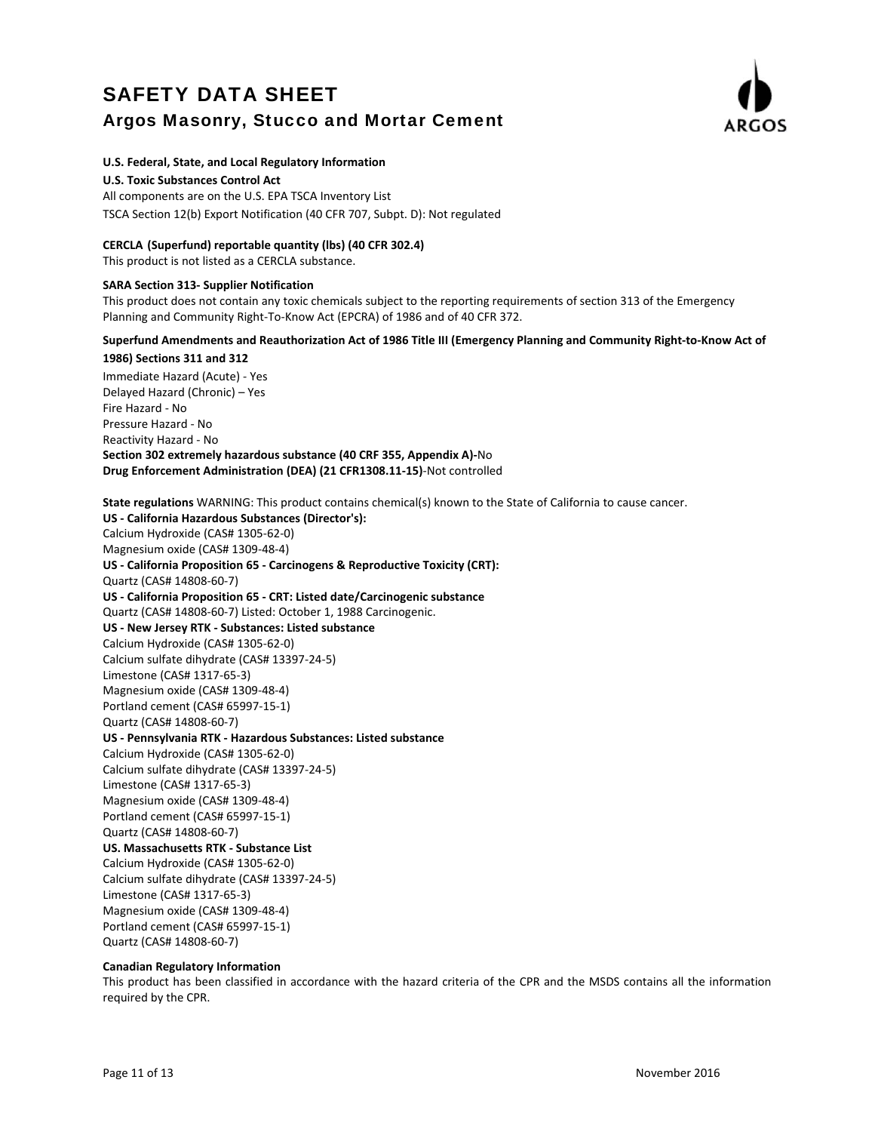

#### **U.S. Federal, State, and Local Regulatory Information**

**U.S. Toxic Substances Control Act**

All components are on the U.S. EPA TSCA Inventory List TSCA Section 12(b) Export Notification (40 CFR 707, Subpt. D): Not regulated

### **CERCLA (Superfund) reportable quantity (lbs) (40 CFR 302.4)**

This product is not listed as a CERCLA substance.

#### **SARA Section 313‐ Supplier Notification**

This product does not contain any toxic chemicals subject to the reporting requirements of section 313 of the Emergency Planning and Community Right‐To‐Know Act (EPCRA) of 1986 and of 40 CFR 372.

# Superfund Amendments and Reauthorization Act of 1986 Title III (Emergency Planning and Community Right-to-Know Act of

**1986) Sections 311 and 312** Immediate Hazard (Acute) ‐ Yes Delayed Hazard (Chronic) – Yes Fire Hazard ‐ No Pressure Hazard ‐ No Reactivity Hazard ‐ No **Section 302 extremely hazardous substance (40 CRF 355, Appendix A)‐**No **Drug Enforcement Administration (DEA) (21 CFR1308.11‐15)**‐Not controlled

**State regulations** WARNING: This product contains chemical(s) known to the State of California to cause cancer. **US ‐ California Hazardous Substances (Director's):** Calcium Hydroxide (CAS# 1305‐62‐0) Magnesium oxide (CAS# 1309‐48‐4) **US ‐ California Proposition 65 ‐ Carcinogens & Reproductive Toxicity (CRT):** Quartz (CAS# 14808‐60‐7) **US ‐ California Proposition 65 ‐ CRT: Listed date/Carcinogenic substance** Quartz (CAS# 14808‐60‐7) Listed: October 1, 1988 Carcinogenic. **US ‐ New Jersey RTK ‐ Substances: Listed substance** Calcium Hydroxide (CAS# 1305‐62‐0) Calcium sulfate dihydrate (CAS# 13397‐24‐5) Limestone (CAS# 1317‐65‐3) Magnesium oxide (CAS# 1309‐48‐4) Portland cement (CAS# 65997‐15‐1) Quartz (CAS# 14808‐60‐7) **US ‐ Pennsylvania RTK ‐ Hazardous Substances: Listed substance** Calcium Hydroxide (CAS# 1305‐62‐0) Calcium sulfate dihydrate (CAS# 13397‐24‐5) Limestone (CAS# 1317‐65‐3) Magnesium oxide (CAS# 1309‐48‐4) Portland cement (CAS# 65997‐15‐1) Quartz (CAS# 14808‐60‐7) **US. Massachusetts RTK ‐ Substance List** Calcium Hydroxide (CAS# 1305‐62‐0) Calcium sulfate dihydrate (CAS# 13397‐24‐5) Limestone (CAS# 1317‐65‐3) Magnesium oxide (CAS# 1309‐48‐4) Portland cement (CAS# 65997‐15‐1) Quartz (CAS# 14808‐60‐7)

### **Canadian Regulatory Information**

This product has been classified in accordance with the hazard criteria of the CPR and the MSDS contains all the information required by the CPR.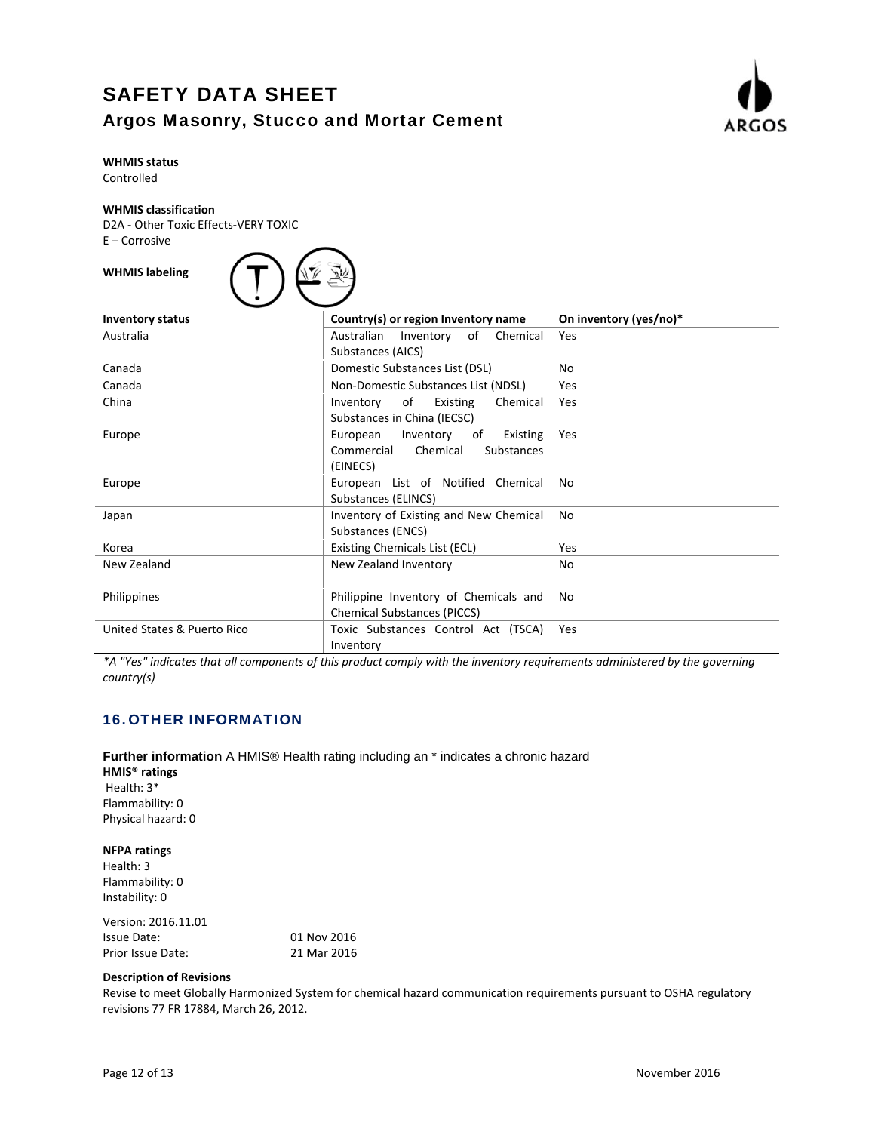

# **WHMIS status**

Controlled

### **WHMIS classification**

D2A ‐ Other Toxic Effects‐VERY TOXIC E – Corrosive

| <b>WHMIS labeling</b> |
|-----------------------|

| <b>Inventory status</b>     | Country(s) or region Inventory name     | On inventory (yes/no)* |  |
|-----------------------------|-----------------------------------------|------------------------|--|
| Australia                   | Chemical<br>of<br>Australian Inventory  | Yes                    |  |
|                             | Substances (AICS)                       |                        |  |
| Canada                      | Domestic Substances List (DSL)          | No                     |  |
| Canada                      | Non-Domestic Substances List (NDSL)     | Yes                    |  |
| China                       | of<br>Existing<br>Chemical<br>Inventory | Yes                    |  |
|                             | Substances in China (IECSC)             |                        |  |
| Europe                      | European<br>of<br>Inventory<br>Existing | Yes                    |  |
|                             | Commercial<br>Chemical<br>Substances    |                        |  |
|                             | (EINECS)                                |                        |  |
| Europe                      | European List of Notified Chemical      | No.                    |  |
|                             | Substances (ELINCS)                     |                        |  |
| Japan                       | Inventory of Existing and New Chemical  | No                     |  |
|                             | Substances (ENCS)                       |                        |  |
| Korea                       | Existing Chemicals List (ECL)           | Yes                    |  |
| New Zealand                 | New Zealand Inventory                   | No                     |  |
|                             |                                         |                        |  |
| Philippines                 | Philippine Inventory of Chemicals and   | No                     |  |
|                             | <b>Chemical Substances (PICCS)</b>      |                        |  |
| United States & Puerto Rico | Toxic Substances Control Act (TSCA)     | Yes                    |  |
|                             | Inventory                               |                        |  |

\*A "Yes" indicates that all components of this product comply with the inventory requirements administered by the governing *country(s)*

# 16.OTHER INFORMATION

**Further information** A HMIS® Health rating including an \* indicates a chronic hazard **HMIS® ratings** Health: 3\* Flammability: 0 Physical hazard: 0

### **NFPA ratings**

Health: 3 Flammability: 0 Instability: 0

| 01 Nov 2016 |
|-------------|
| 21 Mar 2016 |
|             |

### **Description of Revisions**

Revise to meet Globally Harmonized System for chemical hazard communication requirements pursuant to OSHA regulatory revisions 77 FR 17884, March 26, 2012.